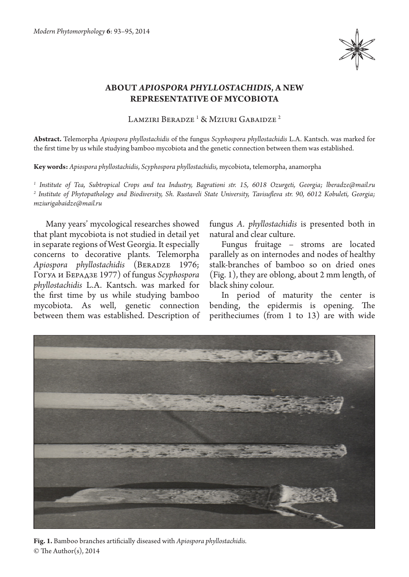

## **ABOUT** *APIOSPORA PHYLLOSTACHIDIS***, A NEW REPRESENTATIVE OF MYCOBIOTA**

Lamziri Beradze <sup>1</sup> & Mziuri Gabaidze <sup>2</sup>

**Abstract.** Telemorpha *Apiospora phyllostachidis* of the fungus *Scyphospora phyllostachidis* L.A. Kantsch. was marked for the first time by us while studying bamboo mycobiota and the genetic connection between them was established.

**Key words:** *Apiospora phyllostachidis*, *Scyphospora phyllostachidis,* mycobiota, telemorpha, anamorpha

*1 Institute of Tea, Subtropical Crops and tea Industry, Bagrationi str. 15, 6018 Ozurgeti, Georgia; lberadze@mail.ru 2 Institute of Phytopathology and Biodiversity, Sh. Rustaveli State University, Tavisufleva str. 90, 6012 Kobuleti, Georgia; mziurigabaidze@mail.ru*

Many years' mycological researches showed that plant mycobiota is not studied in detail yet in separate regions of West Georgia. It especially concerns to decorative plants. Telemorpha Apiospora phyllostachidis (BERADZE 1976; Гогуа и Берадзе 1977) of fungus *Scyphospora phyllostachidis* L.A. Kantsch. was marked for the first time by us while studying bamboo mycobiota. As well, genetic connection between them was established. Description of fungus *A. phyllostachidis* is presented both in natural and clear culture.

Fungus fruitage – stroms are located parallely as on internodes and nodes of healthy stalk-branches of bamboo so on dried ones (Fig. 1), they are oblong, about 2 mm length, of black shiny colour.

In period of maturity the center is bending, the epidermis is opening. The peritheciumes (from 1 to 13) are with wide



© The Author(s), 2014 **Fig. 1.** Bamboo branches artificially diseased with *Apiospora phyllostachidis.*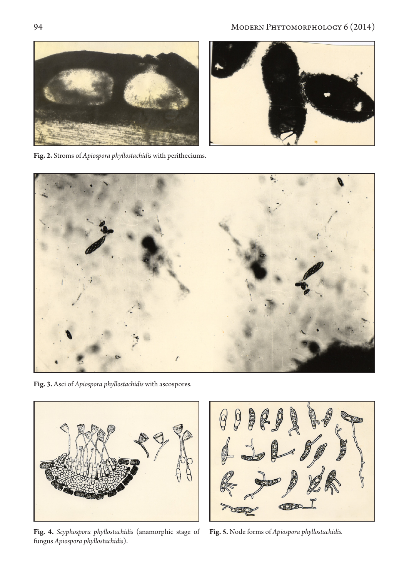



**Fig. 2.** Stroms of *Apiospora phyllostachidis* with peritheciums.



**Fig. 3.** Asci of *Apiospora phyllostachidis* with ascospores.



**Fig. 4.** *Scyphospora phyllostachidis* (anamorphic stage of fungus *Apiospora phyllostachidis*).

**Fig. 5.** Node forms of *Apiospora phyllostachidis.*